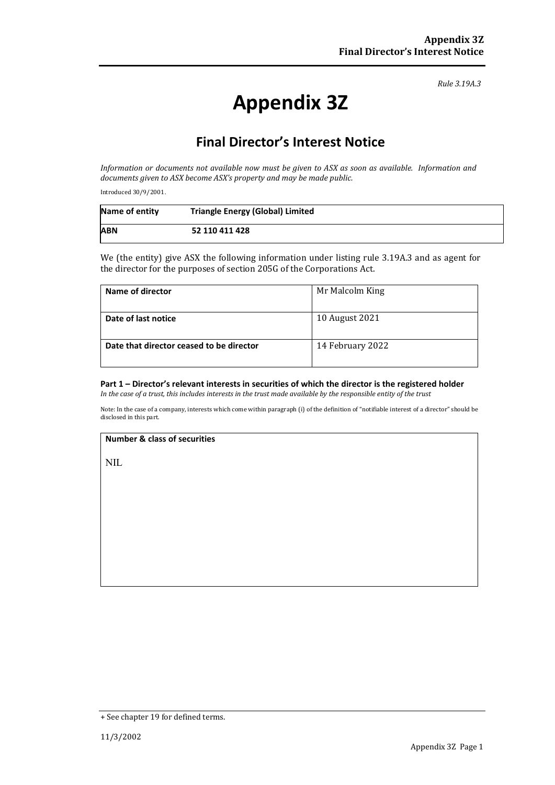*Rule 3.19A.3*

# **Appendix 3Z**

# **Final Director's Interest Notice**

*Information or documents not available now must be given to ASX as soon as available. Information and documents given to ASX become ASX's property and may be made public.*

Introduced 30/9/2001.

| Name of entity | <b>Triangle Energy (Global) Limited</b> |
|----------------|-----------------------------------------|
| <b>ABN</b>     | 52 110 411 428                          |

We (the entity) give ASX the following information under listing rule 3.19A.3 and as agent for the director for the purposes of section 205G of the Corporations Act.

| Name of director                         | Mr Malcolm King  |
|------------------------------------------|------------------|
| Date of last notice                      | 10 August 2021   |
| Date that director ceased to be director | 14 February 2022 |

## **Part 1 – Director's relevant interests in securities of which the director is the registered holder**

*In the case of a trust, this includes interests in the trust made available by the responsible entity of the trust*

Note: In the case of a company, interests which come within paragraph (i) of the definition of "notifiable interest of a director" should be disclosed in this part.

#### **Number & class of securities**

NIL

<sup>+</sup> See chapter 19 for defined terms.